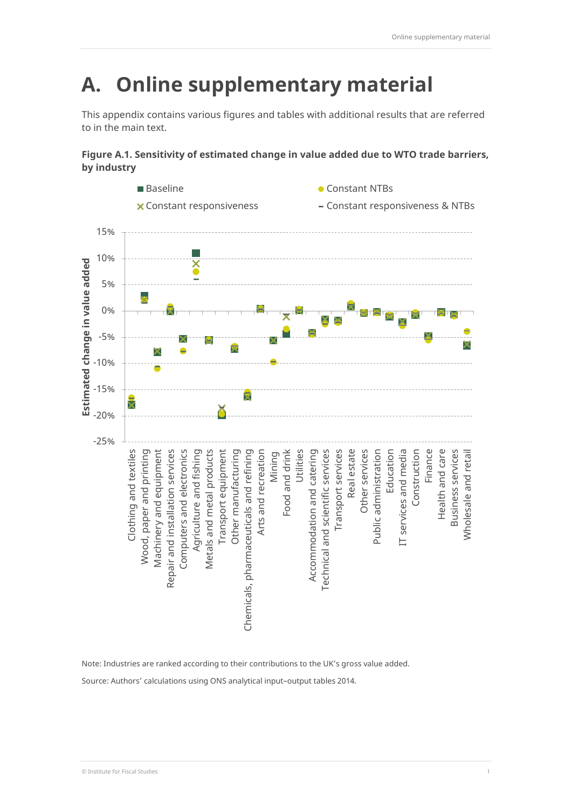# **A. Online supplementary material**

This appendix contains various figures and tables with additional results that are referred to in the main text.

**Figure A.1. Sensitivity of estimated change in value added due to WTO trade barriers, by industry**



Note: Industries are ranked according to their contributions to the UK's gross value added.

Source: Authors' calculations using ONS analytical input–output tables 2014.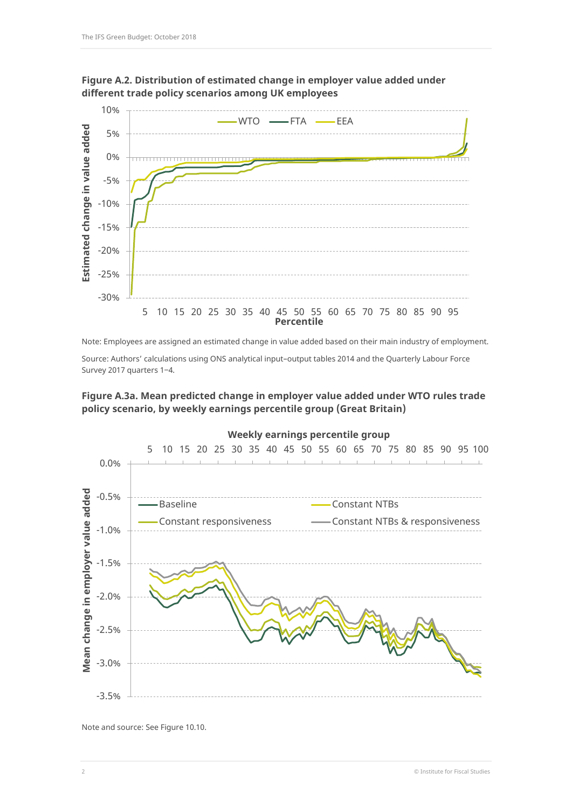



Note: Employees are assigned an estimated change in value added based on their main industry of employment.

Source: Authors' calculations using ONS analytical input–output tables 2014 and the Quarterly Labour Force Survey 2017 quarters 1-4.

# **Figure A.3a. Mean predicted change in employer value added under WTO rules trade policy scenario, by weekly earnings percentile group (Great Britain)**



Note and source: See Figure 10.10.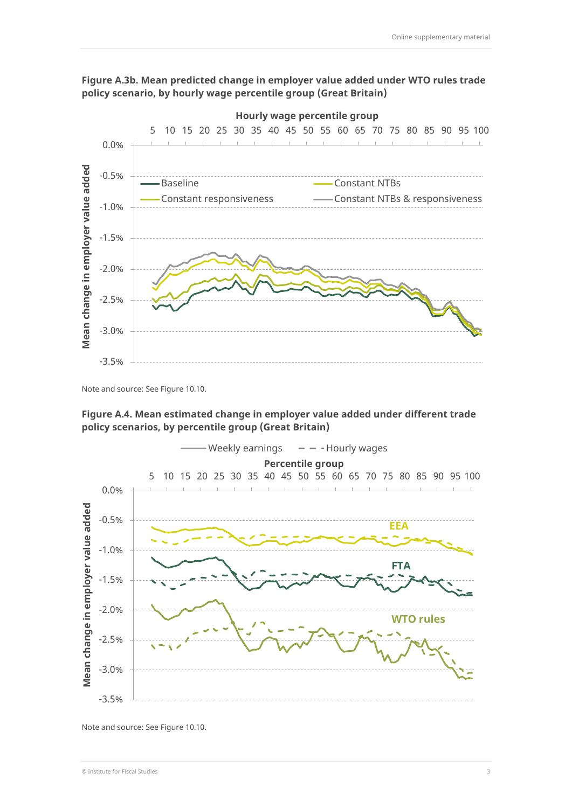



Note and source: See Figure 10.10.





Note and source: See Figure 10.10.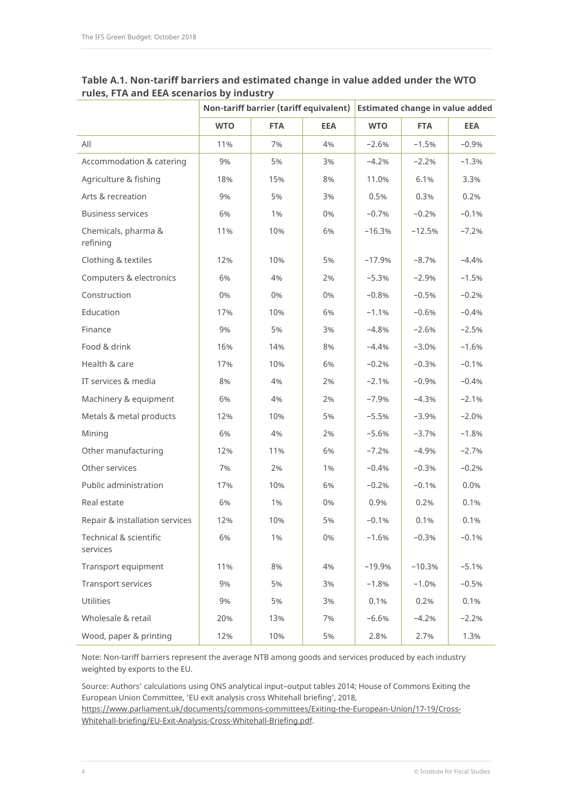|                                    | Non-tariff barrier (tariff equivalent) |            | <b>Estimated change in value added</b> |            |            |            |
|------------------------------------|----------------------------------------|------------|----------------------------------------|------------|------------|------------|
|                                    | <b>WTO</b>                             | <b>FTA</b> | <b>EEA</b>                             | <b>WTO</b> | <b>FTA</b> | <b>EEA</b> |
| All                                | 11%                                    | 7%         | 4%                                     | $-2.6%$    | $-1.5%$    | $-0.9%$    |
| Accommodation & catering           | 9%                                     | 5%         | 3%                                     | $-4.2%$    | $-2.2%$    | $-1.3%$    |
| Agriculture & fishing              | 18%                                    | 15%        | 8%                                     | 11.0%      | 6.1%       | 3.3%       |
| Arts & recreation                  | 9%                                     | 5%         | 3%                                     | 0.5%       | 0.3%       | 0.2%       |
| <b>Business services</b>           | 6%                                     | 1%         | 0%                                     | $-0.7%$    | $-0.2%$    | $-0.1%$    |
| Chemicals, pharma &<br>refining    | 11%                                    | 10%        | 6%                                     | $-16.3%$   | $-12.5%$   | $-7.2%$    |
| Clothing & textiles                | 12%                                    | 10%        | 5%                                     | $-17.9%$   | $-8.7%$    | $-4.4%$    |
| Computers & electronics            | 6%                                     | 4%         | 2%                                     | $-5.3%$    | $-2.9%$    | $-1.5%$    |
| Construction                       | 0%                                     | 0%         | 0%                                     | $-0.8%$    | $-0.5%$    | $-0.2%$    |
| Education                          | 17%                                    | 10%        | 6%                                     | $-1.1%$    | $-0.6%$    | $-0.4%$    |
| Finance                            | 9%                                     | 5%         | 3%                                     | $-4.8%$    | $-2.6%$    | $-2.5%$    |
| Food & drink                       | 16%                                    | 14%        | 8%                                     | $-4.4%$    | $-3.0%$    | $-1.6%$    |
| Health & care                      | 17%                                    | 10%        | 6%                                     | $-0.2%$    | $-0.3%$    | $-0.1%$    |
| IT services & media                | 8%                                     | 4%         | 2%                                     | $-2.1%$    | $-0.9%$    | $-0.4%$    |
| Machinery & equipment              | 6%                                     | 4%         | 2%                                     | $-7.9%$    | $-4.3%$    | $-2.1%$    |
| Metals & metal products            | 12%                                    | 10%        | 5%                                     | $-5.5%$    | $-3.9%$    | $-2.0%$    |
| Mining                             | 6%                                     | 4%         | 2%                                     | $-5.6%$    | $-3.7%$    | $-1.8%$    |
| Other manufacturing                | 12%                                    | 11%        | 6%                                     | $-7.2%$    | $-4.9%$    | $-2.7%$    |
| Other services                     | 7%                                     | 2%         | 1%                                     | $-0.4%$    | $-0.3%$    | $-0.2%$    |
| Public administration              | 17%                                    | 10%        | 6%                                     | $-0.2%$    | $-0.1%$    | 0.0%       |
| Real estate                        | 6%                                     | 1%         | 0%                                     | 0.9%       | 0.2%       | 0.1%       |
| Repair & installation services     | 12%                                    | 10%        | 5%                                     | $-0.1%$    | 0.1%       | 0.1%       |
| Technical & scientific<br>services | 6%                                     | 1%         | 0%                                     | $-1.6%$    | $-0.3%$    | $-0.1%$    |
| Transport equipment                | 11%                                    | 8%         | 4%                                     | $-19.9%$   | $-10.3%$   | $-5.1%$    |
| Transport services                 | 9%                                     | 5%         | 3%                                     | $-1.8%$    | $-1.0%$    | $-0.5%$    |
| <b>Utilities</b>                   | 9%                                     | 5%         | 3%                                     | 0.1%       | 0.2%       | 0.1%       |
| Wholesale & retail                 | 20%                                    | 13%        | 7%                                     | $-6.6%$    | $-4.2%$    | $-2.2%$    |
| Wood, paper & printing             | 12%                                    | 10%        | 5%                                     | 2.8%       | 2.7%       | 1.3%       |

# **Table A.1. Non-tariff barriers and estimated change in value added under the WTO rules, FTA and EEA scenarios by industry**

Note: Non-tariff barriers represent the average NTB among goods and services produced by each industry weighted by exports to the EU.

Source: Authors' calculations using ONS analytical input–output tables 2014; House of Commons Exiting the European Union Committee, 'EU exit analysis cross Whitehall briefing', 2018,

[https://www.parliament.uk/documents/commons-committees/Exiting-the-European-Union/17-19/Cross-](https://www.parliament.uk/documents/commons-committees/Exiting-the-European-Union/17-19/Cross-Whitehall-briefing/EU-Exit-Analysis-Cross-Whitehall-Briefing.pdf)[Whitehall-briefing/EU-Exit-Analysis-Cross-Whitehall-Briefing.pdf.](https://www.parliament.uk/documents/commons-committees/Exiting-the-European-Union/17-19/Cross-Whitehall-briefing/EU-Exit-Analysis-Cross-Whitehall-Briefing.pdf)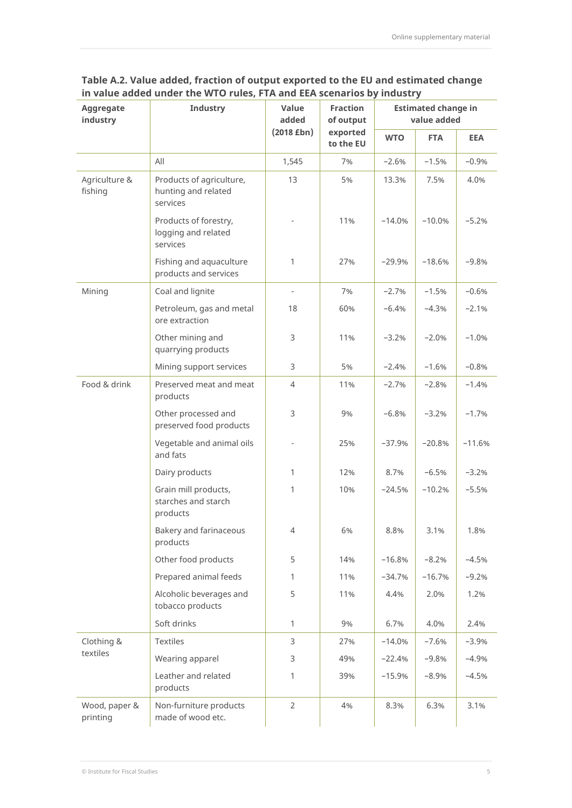| Table A.2. Value added, fraction of output exported to the EU and estimated change |
|------------------------------------------------------------------------------------|
| in value added under the WTO rules, FTA and EEA scenarios by industry              |

| Aggregate<br>industry     | <b>Industry</b>                                             | Value<br>added               | <b>Fraction</b><br>of output | <b>Estimated change in</b><br>value added |            |            |  |
|---------------------------|-------------------------------------------------------------|------------------------------|------------------------------|-------------------------------------------|------------|------------|--|
|                           |                                                             | $(2018$ £bn)                 | exported<br>to the EU        | <b>WTO</b>                                | <b>FTA</b> | <b>EEA</b> |  |
|                           | All                                                         | 1,545                        | 7%                           | $-2.6%$                                   | $-1.5%$    | $-0.9%$    |  |
| Agriculture &<br>fishing  | Products of agriculture,<br>hunting and related<br>services | 13                           | 5%                           | 13.3%                                     | 7.5%       | 4.0%       |  |
|                           | Products of forestry,<br>logging and related<br>services    |                              | 11%                          | $-14.0%$                                  | $-10.0%$   | $-5.2%$    |  |
|                           | Fishing and aquaculture<br>products and services            | 1                            | 27%                          | $-29.9%$                                  | $-18.6%$   | $-9.8%$    |  |
| Mining                    | Coal and lignite                                            | $\qquad \qquad \blacksquare$ | 7%                           | $-2.7%$                                   | $-1.5%$    | $-0.6%$    |  |
|                           | Petroleum, gas and metal<br>ore extraction                  | 18                           | 60%                          | $-6.4%$                                   | $-4.3%$    | $-2.1%$    |  |
|                           | Other mining and<br>quarrying products                      | 3                            | 11%                          | $-3.2%$                                   | $-2.0%$    | $-1.0%$    |  |
|                           | Mining support services                                     | 3                            | 5%                           | $-2.4%$                                   | $-1.6%$    | $-0.8%$    |  |
| Food & drink              | Preserved meat and meat<br>products                         | $\overline{4}$               | 11%                          | $-2.7%$                                   | $-2.8%$    | $-1.4%$    |  |
|                           | Other processed and<br>preserved food products              | 3                            | 9%                           | $-6.8%$                                   | $-3.2%$    | $-1.7%$    |  |
|                           | Vegetable and animal oils<br>and fats                       |                              | 25%                          | $-37.9%$                                  | $-20.8%$   | $-11.6%$   |  |
|                           | Dairy products                                              | $\mathbf{1}$                 | 12%                          | 8.7%                                      | $-6.5%$    | $-3.2%$    |  |
|                           | Grain mill products,<br>starches and starch<br>products     | 1                            | 10%                          | $-24.5%$                                  | $-10.2%$   | $-5.5%$    |  |
|                           | Bakery and farinaceous<br>products                          | 4                            | 6%                           | 8.8%                                      | 3.1%       | 1.8%       |  |
|                           | Other food products                                         | 5                            | 14%                          | $-16.8%$                                  | $-8.2%$    | $-4.5%$    |  |
|                           | Prepared animal feeds                                       | $\mathbf{1}$                 | 11%                          | $-34.7%$                                  | $-16.7%$   | $-9.2%$    |  |
|                           | Alcoholic beverages and<br>tobacco products                 | 5                            | 11%                          | 4.4%                                      | 2.0%       | 1.2%       |  |
|                           | Soft drinks                                                 | $\mathbf{1}$                 | 9%                           | 6.7%                                      | 4.0%       | 2.4%       |  |
| Clothing &                | <b>Textiles</b>                                             | 3                            | 27%                          | $-14.0%$                                  | $-7.6%$    | $-3.9%$    |  |
| textiles                  | Wearing apparel                                             | 3                            | 49%                          | $-22.4%$                                  | $-9.8%$    | $-4.9%$    |  |
|                           | Leather and related<br>products                             | 1                            | 39%                          | $-15.9%$                                  | $-8.9%$    | $-4.5%$    |  |
| Wood, paper &<br>printing | Non-furniture products<br>made of wood etc.                 | $\overline{2}$               | 4%                           | 8.3%                                      | 6.3%       | 3.1%       |  |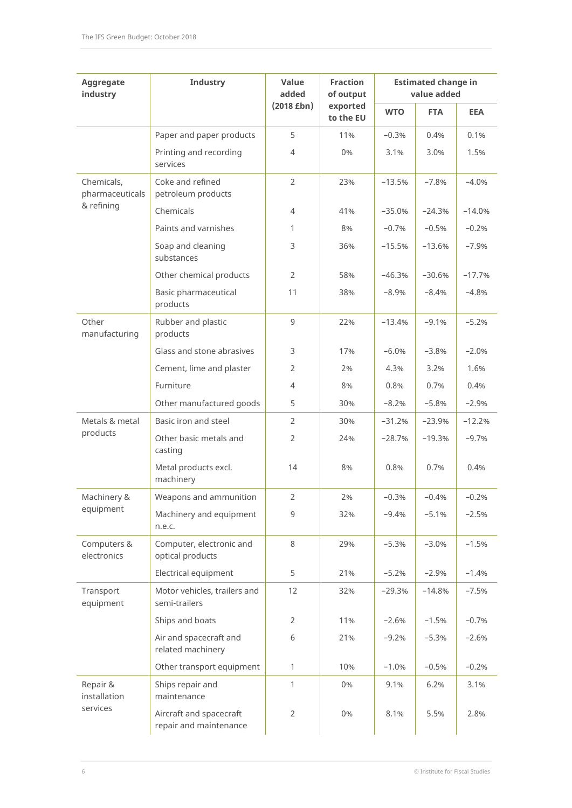| Aggregate<br>industry         | Industry                                          | Value<br>added | <b>Fraction</b><br>of output | <b>Estimated change in</b><br>value added |            |            |  |
|-------------------------------|---------------------------------------------------|----------------|------------------------------|-------------------------------------------|------------|------------|--|
|                               |                                                   | $(2018$ £bn)   | exported<br>to the EU        | <b>WTO</b>                                | <b>FTA</b> | <b>EEA</b> |  |
|                               | Paper and paper products                          | 5              | 11%                          | $-0.3%$                                   | 0.4%       | 0.1%       |  |
|                               | Printing and recording<br>services                | $\overline{4}$ | 0%                           | 3.1%                                      | 3.0%       | 1.5%       |  |
| Chemicals,<br>pharmaceuticals | Coke and refined<br>petroleum products            | $\overline{2}$ | 23%                          | $-13.5%$                                  | $-7.8%$    | $-4.0%$    |  |
| & refining                    | Chemicals                                         | $\overline{4}$ | 41%                          | $-35.0%$                                  | $-24.3%$   | $-14.0%$   |  |
|                               | Paints and varnishes                              | 1              | 8%                           | $-0.7%$                                   | $-0.5%$    | $-0.2%$    |  |
|                               | Soap and cleaning<br>substances                   | 3              | 36%                          | $-15.5%$                                  | $-13.6%$   | $-7.9%$    |  |
|                               | Other chemical products                           | $\overline{2}$ | 58%                          | $-46.3%$                                  | $-30.6%$   | $-17.7%$   |  |
|                               | Basic pharmaceutical<br>products                  | 11             | 38%                          | $-8.9%$                                   | $-8.4%$    | $-4.8%$    |  |
| Other<br>manufacturing        | Rubber and plastic<br>products                    | 9              | 22%                          | $-13.4%$                                  | $-9.1%$    | $-5.2%$    |  |
|                               | Glass and stone abrasives                         | 3              | 17%                          | $-6.0%$                                   | $-3.8%$    | $-2.0%$    |  |
|                               | Cement, lime and plaster                          | 2              | 2%                           | 4.3%                                      | 3.2%       | 1.6%       |  |
|                               | Furniture                                         | 4              | 8%                           | 0.8%                                      | 0.7%       | 0.4%       |  |
|                               | Other manufactured goods                          | 5              | 30%                          | $-8.2%$                                   | $-5.8%$    | $-2.9%$    |  |
| Metals & metal                | Basic iron and steel                              | 2              | 30%                          | $-31.2%$                                  | $-23.9%$   | $-12.2%$   |  |
| products                      | Other basic metals and<br>casting                 | 2              | 24%                          | $-28.7%$                                  | $-19.3%$   | $-9.7%$    |  |
|                               | Metal products excl.<br>machinery                 | 14             | 8%                           | 0.8%                                      | 0.7%       | 0.4%       |  |
| Machinery &                   | Weapons and ammunition                            | $\overline{2}$ | 2%                           | $-0.3%$                                   | $-0.4%$    | $-0.2%$    |  |
| equipment                     | Machinery and equipment<br>n.e.c.                 | 9              | 32%                          | $-9.4%$                                   | $-5.1%$    | $-2.5%$    |  |
| Computers &<br>electronics    | Computer, electronic and<br>optical products      | 8              | 29%                          | $-5.3%$                                   | $-3.0%$    | $-1.5%$    |  |
|                               | Electrical equipment                              | 5              | 21%                          | $-5.2%$                                   | $-2.9%$    | $-1.4%$    |  |
| Transport<br>equipment        | Motor vehicles, trailers and<br>semi-trailers     | 12             | 32%                          | $-29.3%$                                  | $-14.8%$   | $-7.5%$    |  |
|                               | Ships and boats                                   | 2              | 11%                          | $-2.6%$                                   | $-1.5%$    | $-0.7%$    |  |
|                               | Air and spacecraft and<br>related machinery       | 6              | 21%                          | $-9.2%$                                   | $-5.3%$    | $-2.6%$    |  |
|                               | Other transport equipment                         | $\mathbf{1}$   | 10%                          | $-1.0%$                                   | $-0.5%$    | $-0.2%$    |  |
| Repair &<br>installation      | Ships repair and<br>maintenance                   | 1              | 0%                           | 9.1%                                      | 6.2%       | 3.1%       |  |
| services                      | Aircraft and spacecraft<br>repair and maintenance | $\overline{2}$ | 0%                           | 8.1%                                      | 5.5%       | 2.8%       |  |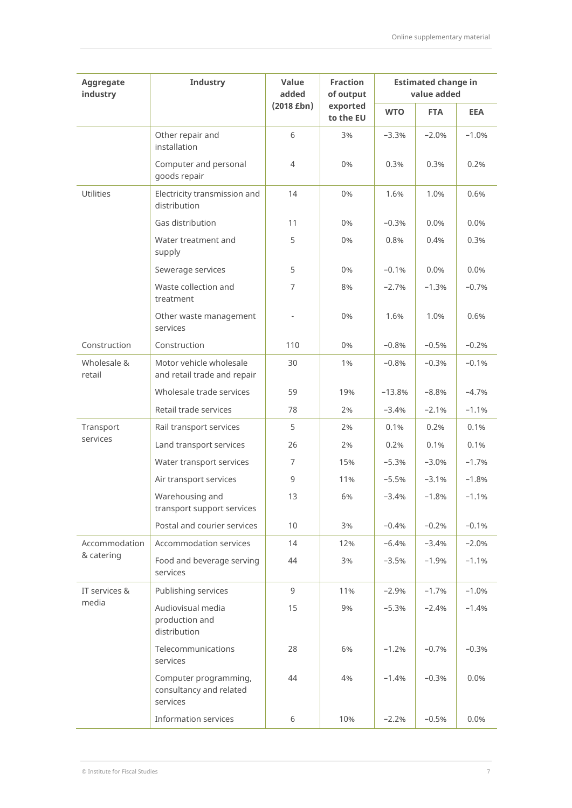| Aggregate<br>industry | Industry                                                     | Value<br>added  | <b>Fraction</b><br>of output | <b>Estimated change in</b><br>value added |            |            |  |
|-----------------------|--------------------------------------------------------------|-----------------|------------------------------|-------------------------------------------|------------|------------|--|
|                       |                                                              | $(2018$ £bn $)$ | exported<br>to the EU        | <b>WTO</b>                                | <b>FTA</b> | <b>EEA</b> |  |
|                       | Other repair and<br>installation                             | 6               | 3%                           | $-3.3%$                                   | $-2.0%$    | $-1.0%$    |  |
|                       | Computer and personal<br>goods repair                        | 4               | 0%                           | 0.3%                                      | 0.3%       | 0.2%       |  |
| <b>Utilities</b>      | Electricity transmission and<br>distribution                 | 14              | 0%                           | 1.6%                                      | 1.0%       | 0.6%       |  |
|                       | Gas distribution                                             | 11              | 0%                           | $-0.3%$                                   | 0.0%       | 0.0%       |  |
|                       | Water treatment and<br>supply                                | 5               | 0%                           | 0.8%                                      | 0.4%       | 0.3%       |  |
|                       | Sewerage services                                            | 5               | 0%                           | $-0.1%$                                   | 0.0%       | 0.0%       |  |
|                       | Waste collection and<br>treatment                            | 7               | 8%                           | $-2.7%$                                   | $-1.3%$    | $-0.7%$    |  |
|                       | Other waste management<br>services                           |                 | 0%                           | 1.6%                                      | 1.0%       | 0.6%       |  |
| Construction          | Construction                                                 | 110             | 0%                           | $-0.8%$                                   | $-0.5%$    | $-0.2%$    |  |
| Wholesale &<br>retail | Motor vehicle wholesale<br>and retail trade and repair       | 30              | 1%                           | $-0.8%$                                   | $-0.3%$    | $-0.1%$    |  |
|                       | Wholesale trade services                                     | 59              | 19%                          | $-13.8%$                                  | $-8.8%$    | $-4.7%$    |  |
|                       | Retail trade services                                        | 78              | 2%                           | $-3.4%$                                   | $-2.1%$    | $-1.1%$    |  |
| Transport             | Rail transport services                                      | 5               | 2%                           | 0.1%                                      | 0.2%       | 0.1%       |  |
| services              | Land transport services                                      | 26              | 2%                           | 0.2%                                      | 0.1%       | 0.1%       |  |
|                       | Water transport services                                     | $\overline{7}$  | 15%                          | $-5.3%$                                   | $-3.0%$    | $-1.7%$    |  |
|                       | Air transport services                                       | 9               | 11%                          | $-5.5%$                                   | $-3.1%$    | $-1.8%$    |  |
|                       | Warehousing and<br>transport support services                | 13              | 6%                           | $-3.4%$                                   | $-1.8%$    | $-1.1%$    |  |
|                       | Postal and courier services                                  | 10              | 3%                           | $-0.4%$                                   | $-0.2%$    | $-0.1%$    |  |
| Accommodation         | Accommodation services                                       | 14              | 12%                          | $-6.4%$                                   | $-3.4%$    | $-2.0%$    |  |
| & catering            | Food and beverage serving<br>services                        | 44              | 3%                           | $-3.5%$                                   | $-1.9%$    | $-1.1%$    |  |
| IT services &         | Publishing services                                          | 9               | 11%                          | $-2.9%$                                   | $-1.7%$    | $-1.0%$    |  |
| media                 | Audiovisual media<br>production and<br>distribution          | 15              | 9%                           | $-5.3%$                                   | $-2.4%$    | $-1.4%$    |  |
|                       | Telecommunications<br>services                               | 28              | 6%                           | $-1.2%$                                   | $-0.7%$    | $-0.3%$    |  |
|                       | Computer programming,<br>consultancy and related<br>services | 44              | 4%                           | $-1.4%$                                   | $-0.3%$    | 0.0%       |  |
|                       | Information services                                         | 6               | 10%                          | $-2.2%$                                   | $-0.5%$    | 0.0%       |  |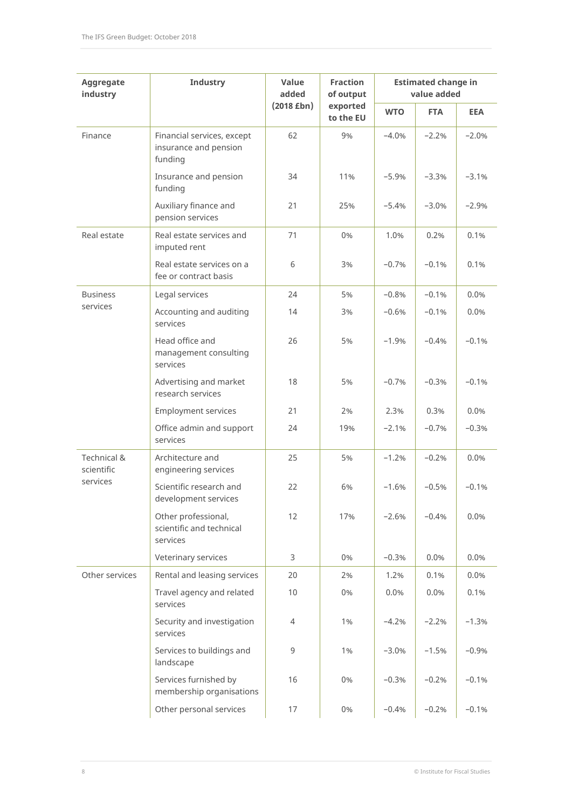| Aggregate<br>industry     | Industry                                                       | Value<br>added  | <b>Fraction</b><br>of output | <b>Estimated change in</b><br>value added |            |            |  |
|---------------------------|----------------------------------------------------------------|-----------------|------------------------------|-------------------------------------------|------------|------------|--|
|                           |                                                                | $(2018$ £bn $)$ | exported<br>to the EU        | <b>WTO</b>                                | <b>FTA</b> | <b>EEA</b> |  |
| Finance                   | Financial services, except<br>insurance and pension<br>funding | 62              | 9%                           | $-4.0%$                                   | $-2.2%$    | $-2.0%$    |  |
|                           | Insurance and pension<br>funding                               | 34              | 11%                          | $-5.9%$                                   | $-3.3%$    | $-3.1%$    |  |
|                           | Auxiliary finance and<br>pension services                      | 21              | 25%                          | $-5.4%$                                   | $-3.0%$    | $-2.9%$    |  |
| Real estate               | Real estate services and<br>imputed rent                       | 71              | 0%                           | 1.0%                                      | 0.2%       | 0.1%       |  |
|                           | Real estate services on a<br>fee or contract basis             | 6               | 3%                           | $-0.7%$                                   | $-0.1%$    | 0.1%       |  |
| <b>Business</b>           | Legal services                                                 | 24              | 5%                           | $-0.8%$                                   | $-0.1%$    | 0.0%       |  |
| services                  | Accounting and auditing<br>services                            | 14              | 3%                           | $-0.6%$                                   | $-0.1%$    | 0.0%       |  |
|                           | Head office and<br>management consulting<br>services           | 26              | 5%                           | $-1.9%$                                   | $-0.4%$    | $-0.1%$    |  |
|                           | Advertising and market<br>research services                    | 18              | 5%                           | $-0.7%$                                   | $-0.3%$    | $-0.1%$    |  |
|                           | <b>Employment services</b>                                     | 21              | 2%                           | 2.3%                                      | 0.3%       | 0.0%       |  |
|                           | Office admin and support<br>services                           | 24              | 19%                          | $-2.1%$                                   | $-0.7%$    | $-0.3%$    |  |
| Technical &<br>scientific | Architecture and<br>engineering services                       | 25              | 5%                           | $-1.2%$                                   | $-0.2%$    | 0.0%       |  |
| services                  | Scientific research and<br>development services                | 22              | 6%                           | $-1.6%$                                   | $-0.5%$    | $-0.1%$    |  |
|                           | Other professional,<br>scientific and technical<br>services    | 12              | 17%                          | $-2.6%$                                   | $-0.4%$    | 0.0%       |  |
|                           | Veterinary services                                            | 3               | 0%                           | $-0.3%$                                   | 0.0%       | 0.0%       |  |
| Other services            | Rental and leasing services                                    | 20              | 2%                           | 1.2%                                      | 0.1%       | 0.0%       |  |
|                           | Travel agency and related<br>services                          | 10              | 0%                           | 0.0%                                      | 0.0%       | 0.1%       |  |
|                           | Security and investigation<br>services                         | $\overline{4}$  | 1%                           | $-4.2%$                                   | $-2.2%$    | $-1.3%$    |  |
|                           | Services to buildings and<br>landscape                         | 9               | 1%                           | $-3.0%$                                   | $-1.5%$    | $-0.9%$    |  |
|                           | Services furnished by<br>membership organisations              | 16              | 0%                           | $-0.3%$                                   | $-0.2%$    | $-0.1%$    |  |
|                           | Other personal services                                        | 17              | 0%                           | $-0.4%$                                   | $-0.2%$    | $-0.1%$    |  |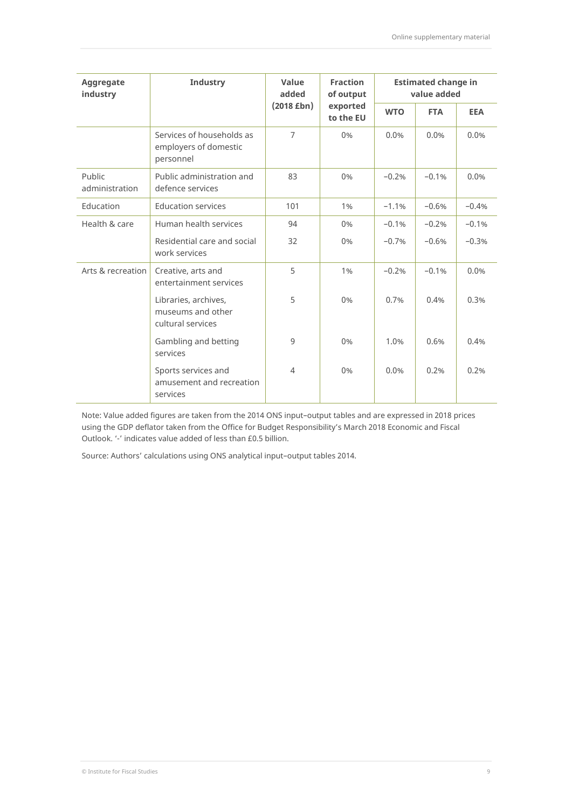| Aggregate<br>industry    | <b>Industry</b>                                                 | Value<br>added | <b>Fraction</b><br>of output | <b>Estimated change in</b><br>value added |            |            |  |
|--------------------------|-----------------------------------------------------------------|----------------|------------------------------|-------------------------------------------|------------|------------|--|
|                          |                                                                 | $(2018$ £bn)   | exported<br>to the EU        | <b>WTO</b>                                | <b>FTA</b> | <b>EEA</b> |  |
|                          | Services of households as<br>employers of domestic<br>personnel | $\overline{7}$ | 0%                           | 0.0%                                      | 0.0%       | 0.0%       |  |
| Public<br>administration | Public administration and<br>defence services                   | 83             | 0%                           | $-0.2%$                                   | $-0.1%$    | 0.0%       |  |
| Education                | <b>Education services</b>                                       | 101            | 1%                           | $-1.1%$                                   | $-0.6%$    | $-0.4%$    |  |
| Health & care            | Human health services                                           | 94             | 0%                           | $-0.1%$                                   | $-0.2%$    | $-0.1%$    |  |
|                          | Residential care and social<br>work services                    | 32             | 0%                           | $-0.7%$                                   | $-0.6%$    | $-0.3%$    |  |
| Arts & recreation        | Creative, arts and<br>entertainment services                    | 5              | 1%                           | $-0.2%$                                   | $-0.1%$    | 0.0%       |  |
|                          | Libraries, archives,<br>museums and other<br>cultural services  | 5              | 0%                           | 0.7%                                      | 0.4%       | 0.3%       |  |
|                          | Gambling and betting<br>services                                | 9              | 0%                           | 1.0%                                      | 0.6%       | 0.4%       |  |
|                          | Sports services and<br>amusement and recreation<br>services     | $\overline{4}$ | 0%                           | 0.0%                                      | 0.2%       | 0.2%       |  |

Note: Value added figures are taken from the 2014 ONS input–output tables and are expressed in 2018 prices using the GDP deflator taken from the Office for Budget Responsibility's March 2018 Economic and Fiscal Outlook. '-' indicates value added of less than £0.5 billion.

Source: Authors' calculations using ONS analytical input–output tables 2014.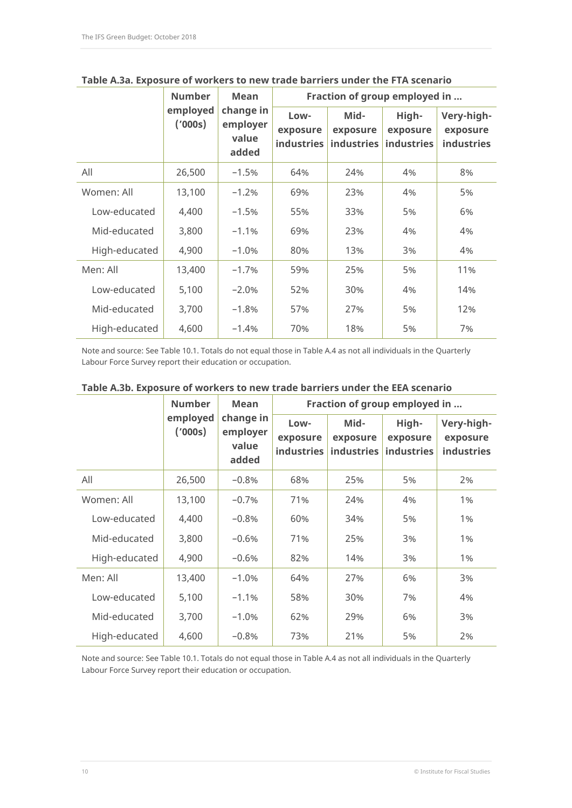|               | <b>Number</b>       | <b>Mean</b>                             | Fraction of group employed in         |                                       |                                        |                                             |  |
|---------------|---------------------|-----------------------------------------|---------------------------------------|---------------------------------------|----------------------------------------|---------------------------------------------|--|
|               | employed<br>(′000s) | change in<br>employer<br>value<br>added | Low-<br>exposure<br><b>industries</b> | Mid-<br>exposure<br><b>industries</b> | High-<br>exposure<br><b>industries</b> | Very-high-<br>exposure<br><b>industries</b> |  |
| All           | 26,500              | $-1.5%$                                 | 64%                                   | 24%                                   | 4%                                     | 8%                                          |  |
| Women: All    | 13,100              | $-1.2%$                                 | 69%                                   | 23%                                   | 4%                                     | 5%                                          |  |
| Low-educated  | 4,400               | $-1.5%$                                 | 55%                                   | 33%                                   | 5%                                     | 6%                                          |  |
| Mid-educated  | 3,800               | $-1.1%$                                 | 69%                                   | 23%                                   | 4%                                     | 4%                                          |  |
| High-educated | 4,900               | $-1.0%$                                 | 80%                                   | 13%                                   | 3%                                     | 4%                                          |  |
| Men: All      | 13,400              | $-1.7%$                                 | 59%                                   | 25%                                   | 5%                                     | 11%                                         |  |
| Low-educated  | 5,100               | $-2.0%$                                 | 52%                                   | 30%                                   | 4%                                     | 14%                                         |  |
| Mid-educated  | 3,700               | $-1.8%$                                 | 57%                                   | 27%                                   | 5%                                     | 12%                                         |  |
| High-educated | 4,600               | $-1.4%$                                 | 70%                                   | 18%                                   | 5%                                     | 7%                                          |  |

**Table A.3a. Exposure of workers to new trade barriers under the FTA scenario**

Note and source: See Table 10.1. Totals do not equal those in Table A.4 as not all individuals in the Quarterly Labour Force Survey report their education or occupation.

|               | <b>Number</b>       | <b>Mean</b>                             | Fraction of group employed in  |                                       |                                 |                                             |  |
|---------------|---------------------|-----------------------------------------|--------------------------------|---------------------------------------|---------------------------------|---------------------------------------------|--|
|               | employed<br>('000s) | change in<br>employer<br>value<br>added | Low-<br>exposure<br>industries | Mid-<br>exposure<br><b>industries</b> | High-<br>exposure<br>industries | Very-high-<br>exposure<br><b>industries</b> |  |
| All           | 26,500              | $-0.8%$                                 | 68%                            | 25%                                   | 5%                              | 2%                                          |  |
| Women: All    | 13,100              | $-0.7%$                                 | 71%                            | 24%                                   | 4%                              | 1%                                          |  |
| Low-educated  | 4,400               | $-0.8%$                                 | 60%                            | 34%                                   | 5%                              | 1%                                          |  |
| Mid-educated  | 3,800               | $-0.6%$                                 | 71%                            | 25%                                   | 3%                              | 1%                                          |  |
| High-educated | 4,900               | $-0.6%$                                 | 82%                            | 14%                                   | 3%                              | 1%                                          |  |
| Men: All      | 13,400              | $-1.0%$                                 | 64%                            | 27%                                   | 6%                              | 3%                                          |  |
| Low-educated  | 5,100               | $-1.1%$                                 | 58%                            | 30%                                   | 7%                              | 4%                                          |  |
| Mid-educated  | 3,700               | $-1.0%$                                 | 62%                            | 29%                                   | 6%                              | 3%                                          |  |
| High-educated | 4,600               | $-0.8%$                                 | 73%                            | 21%                                   | 5%                              | 2%                                          |  |

#### **Table A.3b. Exposure of workers to new trade barriers under the EEA scenario**

Note and source: See Table 10.1. Totals do not equal those in Table A.4 as not all individuals in the Quarterly Labour Force Survey report their education or occupation.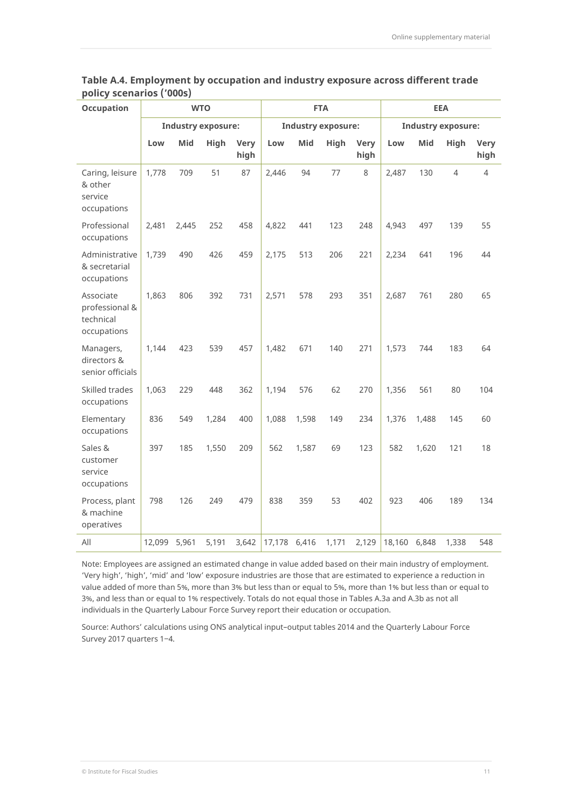| Occupation                                              |        |       | <b>WTO</b>                |                     | <b>FTA</b>   |                           |       | <b>EEA</b>          |        |            |                           |                     |
|---------------------------------------------------------|--------|-------|---------------------------|---------------------|--------------|---------------------------|-------|---------------------|--------|------------|---------------------------|---------------------|
|                                                         |        |       | <b>Industry exposure:</b> |                     |              | <b>Industry exposure:</b> |       |                     |        |            | <b>Industry exposure:</b> |                     |
|                                                         | Low    | Mid   | High                      | <b>Very</b><br>high | Low          | Mid                       | High  | <b>Very</b><br>high | Low    | <b>Mid</b> | High                      | <b>Very</b><br>high |
| Caring, leisure<br>& other<br>service<br>occupations    | 1,778  | 709   | 51                        | 87                  | 2,446        | 94                        | 77    | 8                   | 2,487  | 130        | 4                         | 4                   |
| Professional<br>occupations                             | 2,481  | 2,445 | 252                       | 458                 | 4,822        | 441                       | 123   | 248                 | 4,943  | 497        | 139                       | 55                  |
| Administrative<br>& secretarial<br>occupations          | 1,739  | 490   | 426                       | 459                 | 2,175        | 513                       | 206   | 221                 | 2,234  | 641        | 196                       | 44                  |
| Associate<br>professional &<br>technical<br>occupations | 1,863  | 806   | 392                       | 731                 | 2,571        | 578                       | 293   | 351                 | 2,687  | 761        | 280                       | 65                  |
| Managers,<br>directors &<br>senior officials            | 1,144  | 423   | 539                       | 457                 | 1,482        | 671                       | 140   | 271                 | 1,573  | 744        | 183                       | 64                  |
| Skilled trades<br>occupations                           | 1,063  | 229   | 448                       | 362                 | 1,194        | 576                       | 62    | 270                 | 1,356  | 561        | 80                        | 104                 |
| Elementary<br>occupations                               | 836    | 549   | 1,284                     | 400                 | 1,088        | 1,598                     | 149   | 234                 | 1,376  | 1,488      | 145                       | 60                  |
| Sales &<br>customer<br>service<br>occupations           | 397    | 185   | 1,550                     | 209                 | 562          | 1,587                     | 69    | 123                 | 582    | 1,620      | 121                       | 18                  |
| Process, plant<br>& machine<br>operatives               | 798    | 126   | 249                       | 479                 | 838          | 359                       | 53    | 402                 | 923    | 406        | 189                       | 134                 |
| All                                                     | 12,099 | 5,961 | 5,191                     | 3,642               | 17,178 6,416 |                           | 1,171 | 2,129               | 18,160 | 6,848      | 1,338                     | 548                 |

**Table A.4. Employment by occupation and industry exposure across different trade policy scenarios ('000s)**

Note: Employees are assigned an estimated change in value added based on their main industry of employment. 'Very high', 'high', 'mid' and 'low' exposure industries are those that are estimated to experience a reduction in value added of more than 5%, more than 3% but less than or equal to 5%, more than 1% but less than or equal to 3%, and less than or equal to 1% respectively. Totals do not equal those in Tables A.3a and A.3b as not all individuals in the Quarterly Labour Force Survey report their education or occupation.

Source: Authors' calculations using ONS analytical input–output tables 2014 and the Quarterly Labour Force Survey 2017 quarters 1-4.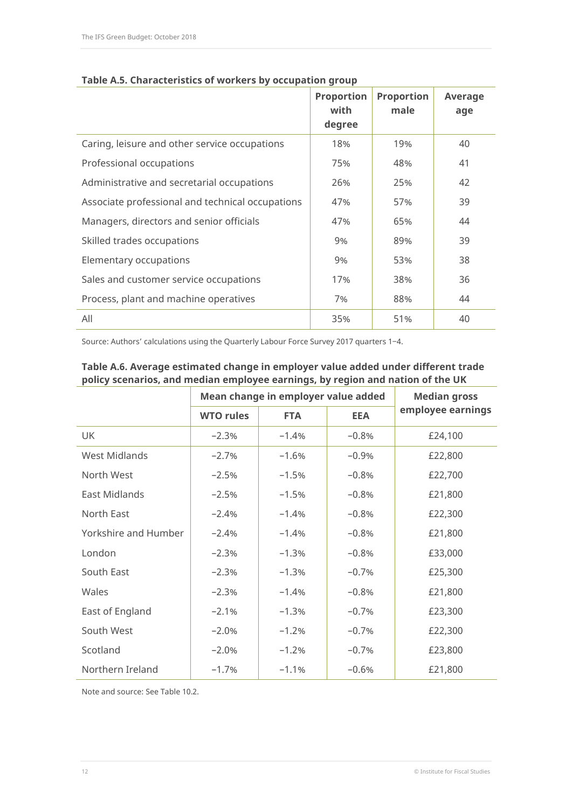|                                                  | <b>Proportion</b><br>with<br>degree | <b>Proportion</b><br>male | Average<br>age |
|--------------------------------------------------|-------------------------------------|---------------------------|----------------|
| Caring, leisure and other service occupations    | 18%                                 | 19%                       | 40             |
| Professional occupations                         | 75%                                 | 48%                       | 41             |
| Administrative and secretarial occupations       | 26%                                 | 25%                       | 42             |
| Associate professional and technical occupations | 47%                                 | 57%                       | 39             |
| Managers, directors and senior officials         | 47%                                 | 65%                       | 44             |
| Skilled trades occupations                       | 9%                                  | 89%                       | 39             |
| Elementary occupations                           | 9%                                  | 53%                       | 38             |
| Sales and customer service occupations           | 17%                                 | 38%                       | 36             |
| Process, plant and machine operatives            | 7%                                  | 88%                       | 44             |
| All                                              | 35%                                 | 51%                       | 40             |

#### **Table A.5. Characteristics of workers by occupation group**

Source: Authors' calculations using the Quarterly Labour Force Survey 2017 quarters 1-4.

|                      | Mean change in employer value added | <b>Median gross</b> |            |                   |
|----------------------|-------------------------------------|---------------------|------------|-------------------|
|                      | <b>WTO rules</b>                    | <b>FTA</b>          | <b>EEA</b> | employee earnings |
| UK                   | $-2.3%$                             | $-1.4%$             | $-0.8%$    | £24,100           |
| West Midlands        | $-2.7%$                             | $-1.6%$             | $-0.9%$    | £22,800           |
| North West           | $-2.5%$                             | $-1.5%$             | $-0.8%$    | £22,700           |
| East Midlands        | $-2.5%$                             | $-1.5%$             | $-0.8%$    | £21,800           |
| North East           | $-2.4%$                             | $-1.4%$             | $-0.8%$    | £22,300           |
| Yorkshire and Humber | $-2.4%$                             | $-1.4%$             | $-0.8%$    | £21,800           |
| London               | $-2.3%$                             | $-1.3%$             | $-0.8%$    | £33,000           |
| South East           | $-2.3%$                             | $-1.3%$             | $-0.7%$    | £25,300           |
| Wales                | $-2.3%$                             | $-1.4%$             | $-0.8%$    | £21,800           |
| East of England      | $-2.1%$                             | $-1.3%$             | $-0.7%$    | £23,300           |
| South West           | $-2.0%$                             | $-1.2%$             | $-0.7%$    | £22,300           |
| Scotland             | $-2.0%$                             | $-1.2%$             | $-0.7%$    | £23,800           |
| Northern Ireland     | $-1.7%$                             | $-1.1%$             | $-0.6%$    | £21,800           |

# **Table A.6. Average estimated change in employer value added under different trade policy scenarios, and median employee earnings, by region and nation of the UK**

Note and source: See Table 10.2.